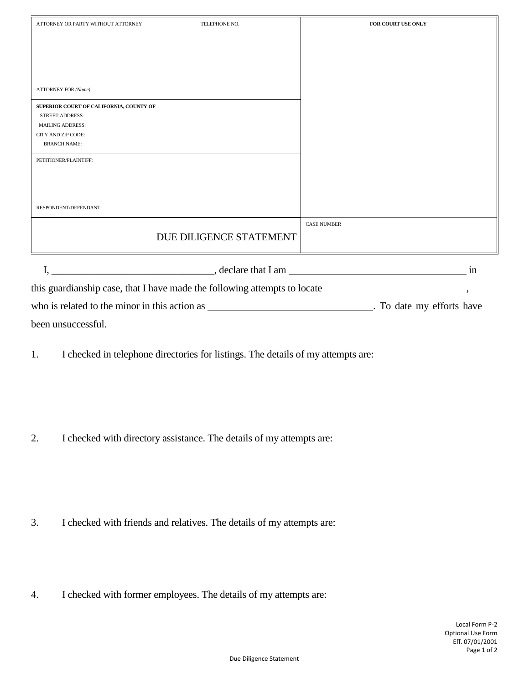| ATTORNEY OR PARTY WITHOUT ATTORNEY                                        | TELEPHONE NO.                         | FOR COURT USE ONLY |
|---------------------------------------------------------------------------|---------------------------------------|--------------------|
|                                                                           |                                       |                    |
|                                                                           |                                       |                    |
|                                                                           |                                       |                    |
|                                                                           |                                       |                    |
| <b>ATTORNEY FOR (Name)</b>                                                |                                       |                    |
| SUPERIOR COURT OF CALIFORNIA, COUNTY OF                                   |                                       |                    |
| <b>STREET ADDRESS:</b>                                                    |                                       |                    |
| <b>MAILING ADDRESS:</b>                                                   |                                       |                    |
| CITY AND ZIP CODE:                                                        |                                       |                    |
| <b>BRANCH NAME:</b>                                                       |                                       |                    |
| PETITIONER/PLAINTIFF:                                                     |                                       |                    |
|                                                                           |                                       |                    |
|                                                                           |                                       |                    |
|                                                                           |                                       |                    |
| RESPONDENT/DEFENDANT:                                                     |                                       |                    |
|                                                                           |                                       | <b>CASE NUMBER</b> |
|                                                                           |                                       |                    |
|                                                                           | DUE DILIGENCE STATEMENT               |                    |
|                                                                           |                                       |                    |
|                                                                           | $\sim$ declare that I am $\sim$<br>in |                    |
| this guardianship case, that I have made the following attempts to locate |                                       |                    |

who is related to the minor in this action as \_\_\_\_\_\_\_\_\_\_\_\_\_\_\_\_\_\_\_\_\_\_\_\_\_\_\_\_\_\_\_\_\_\_. To date my efforts have been unsuccessful.

1. I checked in telephone directories for listings. The details of my attempts are:

2. I checked with directory assistance. The details of my attempts are:

- 3. I checked with friends and relatives. The details of my attempts are:
- 4. I checked with former employees. The details of my attempts are: